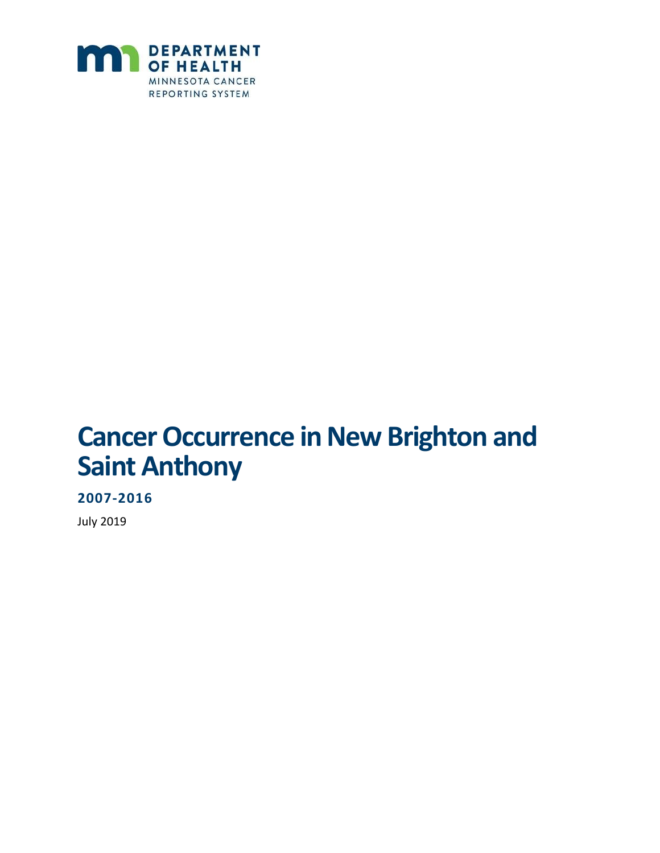

# **Cancer Occurrence in New Brighton and Saint Anthony**

**2007-2016**

July 2019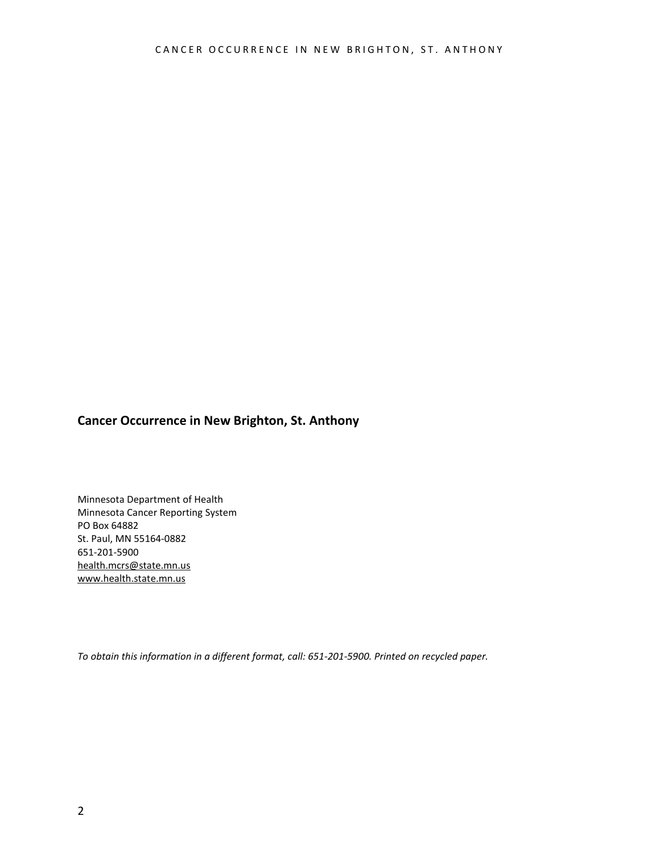#### **Cancer Occurrence in New Brighton, St. Anthony**

Minnesota Department of Health Minnesota Cancer Reporting System PO Box 64882 St. Paul, MN 55164-0882 651-201-5900 [health.mcrs@state.mn.us](mailto:health.mcrs@state.mn.us) [www.health.state.mn.us](http://www.health.state.mn.us/)

*To obtain this information in a different format, call: 651-201-5900. Printed on recycled paper.*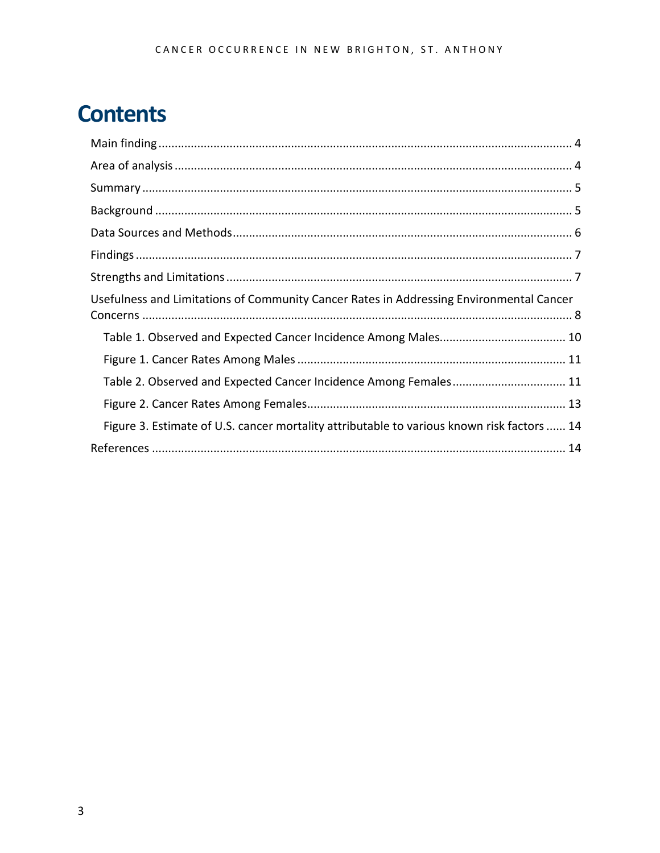## **Contents**

| Usefulness and Limitations of Community Cancer Rates in Addressing Environmental Cancer    |
|--------------------------------------------------------------------------------------------|
|                                                                                            |
|                                                                                            |
| Table 2. Observed and Expected Cancer Incidence Among Females 11                           |
|                                                                                            |
| Figure 3. Estimate of U.S. cancer mortality attributable to various known risk factors  14 |
|                                                                                            |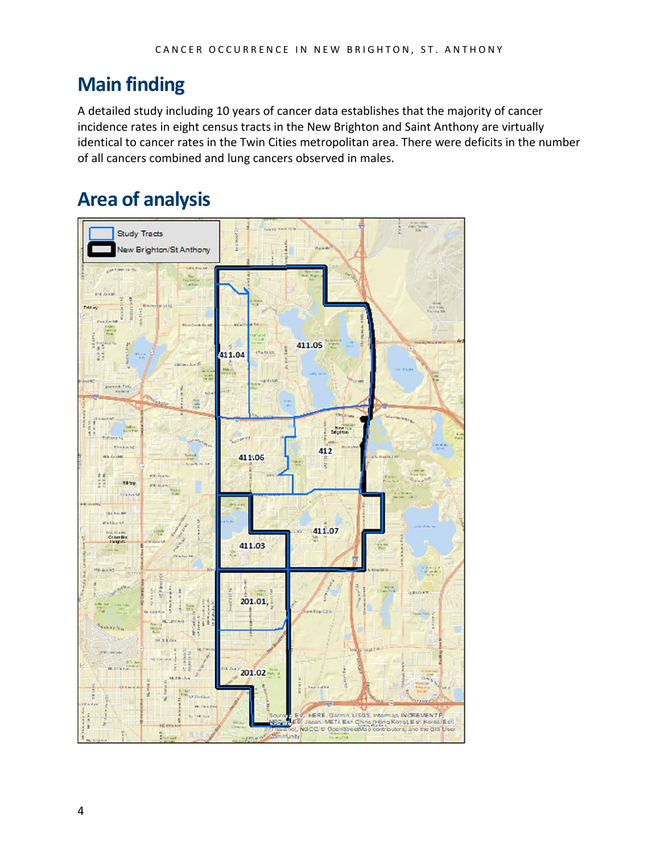### <span id="page-3-0"></span>**Main finding**

A detailed study including 10 years of cancer data establishes that the majority of cancer incidence rates in eight census tracts in the New Brighton and Saint Anthony are virtually identical to cancer rates in the Twin Cities metropolitan area. There were deficits in the number of all cancers combined and lung cancers observed in males.

### <span id="page-3-1"></span>**Area of analysis**

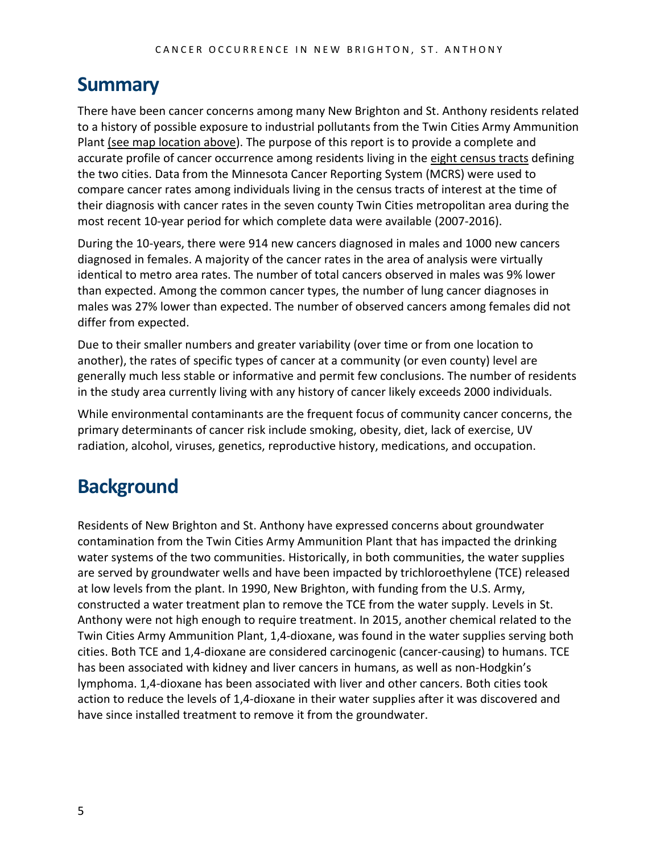#### <span id="page-4-0"></span>**Summary**

There have been cancer concerns among many New Brighton and St. Anthony residents related to a history of possible exposure to industrial pollutants from the Twin Cities Army Ammunition Plant [\(see map location above\)](#page-3-1). The purpose of this report is to provide a complete and accurate profile of cancer occurrence among residents living in the [eight census tracts](#page-3-1) defining the two cities. Data from the Minnesota Cancer Reporting System (MCRS) were used to compare cancer rates among individuals living in the census tracts of interest at the time of their diagnosis with cancer rates in the seven county Twin Cities metropolitan area during the most recent 10-year period for which complete data were available (2007-2016).

During the 10-years, there were 914 new cancers diagnosed in males and 1000 new cancers diagnosed in females. A majority of the cancer rates in the area of analysis were virtually identical to metro area rates. The number of total cancers observed in males was 9% lower than expected. Among the common cancer types, the number of lung cancer diagnoses in males was 27% lower than expected. The number of observed cancers among females did not differ from expected.

Due to their smaller numbers and greater variability (over time or from one location to another), the rates of specific types of cancer at a community (or even county) level are generally much less stable or informative and permit few conclusions. The number of residents in the study area currently living with any history of cancer likely exceeds 2000 individuals.

While environmental contaminants are the frequent focus of community cancer concerns, the primary determinants of cancer risk include smoking, obesity, diet, lack of exercise, UV radiation, alcohol, viruses, genetics, reproductive history, medications, and occupation.

### <span id="page-4-1"></span>**Background**

Residents of New Brighton and St. Anthony have expressed concerns about groundwater contamination from the Twin Cities Army Ammunition Plant that has impacted the drinking water systems of the two communities. Historically, in both communities, the water supplies are served by groundwater wells and have been impacted by trichloroethylene (TCE) released at low levels from the plant. In 1990, New Brighton, with funding from the U.S. Army, constructed a water treatment plan to remove the TCE from the water supply. Levels in St. Anthony were not high enough to require treatment. In 2015, another chemical related to the Twin Cities Army Ammunition Plant, 1,4-dioxane, was found in the water supplies serving both cities. Both TCE and 1,4-dioxane are considered carcinogenic (cancer-causing) to humans. TCE has been associated with kidney and liver cancers in humans, as well as non-Hodgkin's lymphoma. 1,4-dioxane has been associated with liver and other cancers. Both cities took action to reduce the levels of 1,4-dioxane in their water supplies after it was discovered and have since installed treatment to remove it from the groundwater.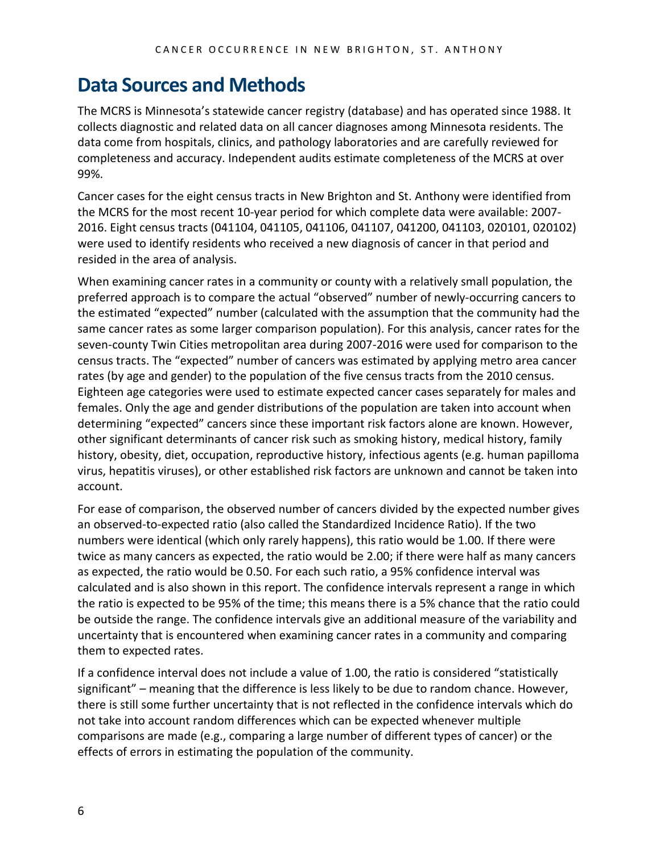#### <span id="page-5-0"></span>**Data Sources and Methods**

The MCRS is Minnesota's statewide cancer registry (database) and has operated since 1988. It collects diagnostic and related data on all cancer diagnoses among Minnesota residents. The data come from hospitals, clinics, and pathology laboratories and are carefully reviewed for completeness and accuracy. Independent audits estimate completeness of the MCRS at over 99%.

Cancer cases for the eight census tracts in New Brighton and St. Anthony were identified from the MCRS for the most recent 10-year period for which complete data were available: 2007- 2016. Eight census tracts (041104, 041105, 041106, 041107, 041200, 041103, 020101, 020102) were used to identify residents who received a new diagnosis of cancer in that period and resided in the area of analysis.

When examining cancer rates in a community or county with a relatively small population, the preferred approach is to compare the actual "observed" number of newly-occurring cancers to the estimated "expected" number (calculated with the assumption that the community had the same cancer rates as some larger comparison population). For this analysis, cancer rates for the seven-county Twin Cities metropolitan area during 2007-2016 were used for comparison to the census tracts. The "expected" number of cancers was estimated by applying metro area cancer rates (by age and gender) to the population of the five census tracts from the 2010 census. Eighteen age categories were used to estimate expected cancer cases separately for males and females. Only the age and gender distributions of the population are taken into account when determining "expected" cancers since these important risk factors alone are known. However, other significant determinants of cancer risk such as smoking history, medical history, family history, obesity, diet, occupation, reproductive history, infectious agents (e.g. human papilloma virus, hepatitis viruses), or other established risk factors are unknown and cannot be taken into account.

For ease of comparison, the observed number of cancers divided by the expected number gives an observed-to-expected ratio (also called the Standardized Incidence Ratio). If the two numbers were identical (which only rarely happens), this ratio would be 1.00. If there were twice as many cancers as expected, the ratio would be 2.00; if there were half as many cancers as expected, the ratio would be 0.50. For each such ratio, a 95% confidence interval was calculated and is also shown in this report. The confidence intervals represent a range in which the ratio is expected to be 95% of the time; this means there is a 5% chance that the ratio could be outside the range. The confidence intervals give an additional measure of the variability and uncertainty that is encountered when examining cancer rates in a community and comparing them to expected rates.

If a confidence interval does not include a value of 1.00, the ratio is considered "statistically significant" – meaning that the difference is less likely to be due to random chance. However, there is still some further uncertainty that is not reflected in the confidence intervals which do not take into account random differences which can be expected whenever multiple comparisons are made (e.g., comparing a large number of different types of cancer) or the effects of errors in estimating the population of the community.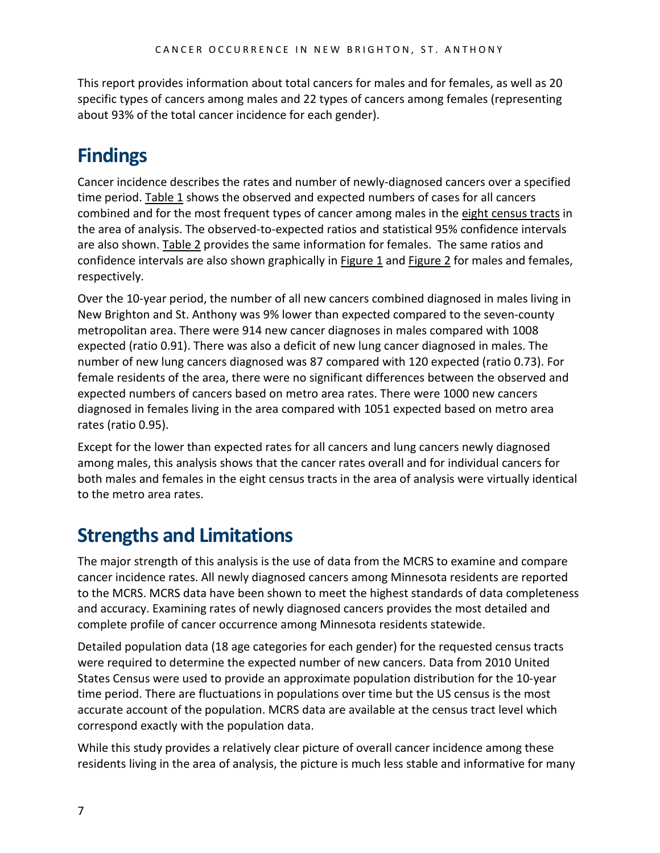This report provides information about total cancers for males and for females, as well as 20 specific types of cancers among males and 22 types of cancers among females (representing about 93% of the total cancer incidence for each gender).

### <span id="page-6-0"></span>**Findings**

Cancer incidence describes the rates and number of newly-diagnosed cancers over a specified time period[. Table 1](#page-9-0) shows the observed and expected numbers of cases for all cancers combined and for the most frequent types of cancer among males in the eight [census tracts](#page-3-1) in the area of analysis. The observed-to-expected ratios and statistical 95% confidence intervals are also shown. [Table 2](#page-11-0) provides the same information for females. The same ratios and confidence intervals are also shown graphically in [Figure 1](#page-10-0) and [Figure 2](#page-12-0) for males and females, respectively.

Over the 10-year period, the number of all new cancers combined diagnosed in males living in New Brighton and St. Anthony was 9% lower than expected compared to the seven-county metropolitan area. There were 914 new cancer diagnoses in males compared with 1008 expected (ratio 0.91). There was also a deficit of new lung cancer diagnosed in males. The number of new lung cancers diagnosed was 87 compared with 120 expected (ratio 0.73). For female residents of the area, there were no significant differences between the observed and expected numbers of cancers based on metro area rates. There were 1000 new cancers diagnosed in females living in the area compared with 1051 expected based on metro area rates (ratio 0.95).

Except for the lower than expected rates for all cancers and lung cancers newly diagnosed among males, this analysis shows that the cancer rates overall and for individual cancers for both males and females in the eight census tracts in the area of analysis were virtually identical to the metro area rates.

### <span id="page-6-1"></span>**Strengths and Limitations**

The major strength of this analysis is the use of data from the MCRS to examine and compare cancer incidence rates. All newly diagnosed cancers among Minnesota residents are reported to the MCRS. MCRS data have been shown to meet the highest standards of data completeness and accuracy. Examining rates of newly diagnosed cancers provides the most detailed and complete profile of cancer occurrence among Minnesota residents statewide.

Detailed population data (18 age categories for each gender) for the requested census tracts were required to determine the expected number of new cancers. Data from 2010 United States Census were used to provide an approximate population distribution for the 10-year time period. There are fluctuations in populations over time but the US census is the most accurate account of the population. MCRS data are available at the census tract level which correspond exactly with the population data.

While this study provides a relatively clear picture of overall cancer incidence among these residents living in the area of analysis, the picture is much less stable and informative for many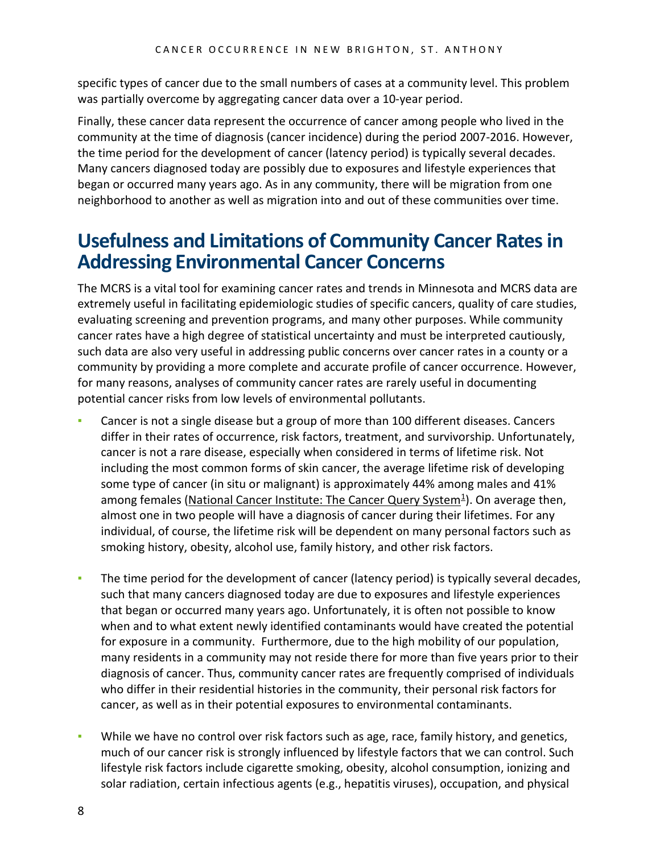specific types of cancer due to the small numbers of cases at a community level. This problem was partially overcome by aggregating cancer data over a 10-year period.

Finally, these cancer data represent the occurrence of cancer among people who lived in the community at the time of diagnosis (cancer incidence) during the period 2007-2016. However, the time period for the development of cancer (latency period) is typically several decades. Many cancers diagnosed today are possibly due to exposures and lifestyle experiences that began or occurred many years ago. As in any community, there will be migration from one neighborhood to another as well as migration into and out of these communities over time.

#### <span id="page-7-0"></span>**Usefulness and Limitations of Community Cancer Rates in Addressing Environmental Cancer Concerns**

The MCRS is a vital tool for examining cancer rates and trends in Minnesota and MCRS data are extremely useful in facilitating epidemiologic studies of specific cancers, quality of care studies, evaluating screening and prevention programs, and many other purposes. While community cancer rates have a high degree of statistical uncertainty and must be interpreted cautiously, such data are also very useful in addressing public concerns over cancer rates in a county or a community by providing a more complete and accurate profile of cancer occurrence. However, for many reasons, analyses of community cancer rates are rarely useful in documenting potential cancer risks from low levels of environmental pollutants.

- Cancer is not a single disease but a group of more than 100 different diseases. Cancers differ in their rates of occurrence, risk factors, treatment, and survivorship. Unfortunately, cancer is not a rare disease, especially when considered in terms of lifetime risk. Not including the most common forms of skin cancer, the average lifetime risk of developing some type of cancer (in situ or malignant) is approximately 44% among males and 41% among females (National Cancer Institute: The Cancer Query System $4$ ). On average then, almost one in two people will have a diagnosis of cancer during their lifetimes. For any individual, of course, the lifetime risk will be dependent on many personal factors such as smoking history, obesity, alcohol use, family history, and other risk factors.
- **The time period for the development of cancer (latency period) is typically several decades,** such that many cancers diagnosed today are due to exposures and lifestyle experiences that began or occurred many years ago. Unfortunately, it is often not possible to know when and to what extent newly identified contaminants would have created the potential for exposure in a community. Furthermore, due to the high mobility of our population, many residents in a community may not reside there for more than five years prior to their diagnosis of cancer. Thus, community cancer rates are frequently comprised of individuals who differ in their residential histories in the community, their personal risk factors for cancer, as well as in their potential exposures to environmental contaminants.
- While we have no control over risk factors such as age, race, family history, and genetics, much of our cancer risk is strongly influenced by lifestyle factors that we can control. Such lifestyle risk factors include cigarette smoking, obesity, alcohol consumption, ionizing and solar radiation, certain infectious agents (e.g., hepatitis viruses), occupation, and physical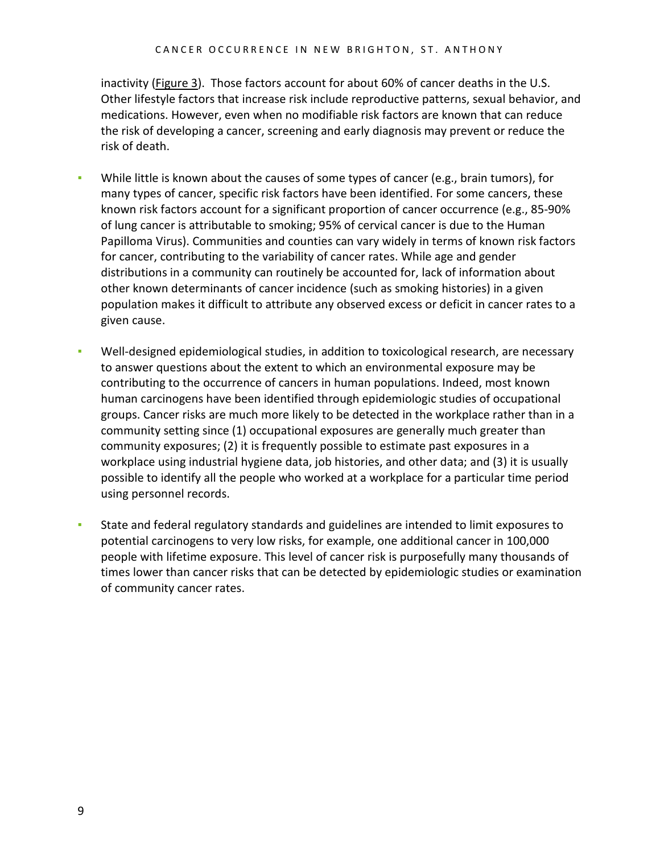inactivity [\(Figure 3\)](#page-13-0). Those factors account for about 60% of cancer deaths in the U.S. Other lifestyle factors that increase risk include reproductive patterns, sexual behavior, and medications. However, even when no modifiable risk factors are known that can reduce the risk of developing a cancer, screening and early diagnosis may prevent or reduce the risk of death.

- While little is known about the causes of some types of cancer (e.g., brain tumors), for many types of cancer, specific risk factors have been identified. For some cancers, these known risk factors account for a significant proportion of cancer occurrence (e.g., 85-90% of lung cancer is attributable to smoking; 95% of cervical cancer is due to the Human Papilloma Virus). Communities and counties can vary widely in terms of known risk factors for cancer, contributing to the variability of cancer rates. While age and gender distributions in a community can routinely be accounted for, lack of information about other known determinants of cancer incidence (such as smoking histories) in a given population makes it difficult to attribute any observed excess or deficit in cancer rates to a given cause.
- Well-designed epidemiological studies, in addition to toxicological research, are necessary to answer questions about the extent to which an environmental exposure may be contributing to the occurrence of cancers in human populations. Indeed, most known human carcinogens have been identified through epidemiologic studies of occupational groups. Cancer risks are much more likely to be detected in the workplace rather than in a community setting since (1) occupational exposures are generally much greater than community exposures; (2) it is frequently possible to estimate past exposures in a workplace using industrial hygiene data, job histories, and other data; and (3) it is usually possible to identify all the people who worked at a workplace for a particular time period using personnel records.
- State and federal regulatory standards and guidelines are intended to limit exposures to potential carcinogens to very low risks, for example, one additional cancer in 100,000 people with lifetime exposure. This level of cancer risk is purposefully many thousands of times lower than cancer risks that can be detected by epidemiologic studies or examination of community cancer rates.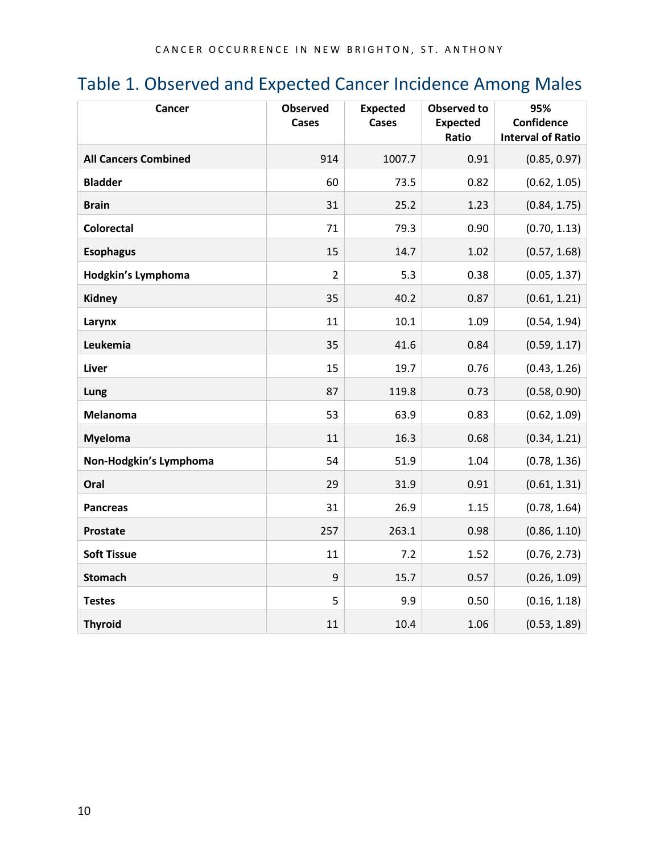### <span id="page-9-0"></span>Table 1. Observed and Expected Cancer Incidence Among Males

| Cancer                      | <b>Observed</b><br><b>Cases</b> | <b>Expected</b><br>Cases | <b>Observed to</b><br><b>Expected</b><br>Ratio | 95%<br>Confidence<br><b>Interval of Ratio</b> |
|-----------------------------|---------------------------------|--------------------------|------------------------------------------------|-----------------------------------------------|
| <b>All Cancers Combined</b> | 914                             | 1007.7                   | 0.91                                           | (0.85, 0.97)                                  |
| <b>Bladder</b>              | 60                              | 73.5                     | 0.82                                           | (0.62, 1.05)                                  |
| <b>Brain</b>                | 31                              | 25.2                     | 1.23                                           | (0.84, 1.75)                                  |
| <b>Colorectal</b>           | 71                              | 79.3                     | 0.90                                           | (0.70, 1.13)                                  |
| <b>Esophagus</b>            | 15                              | 14.7                     | 1.02                                           | (0.57, 1.68)                                  |
| Hodgkin's Lymphoma          | $\overline{2}$                  | 5.3                      | 0.38                                           | (0.05, 1.37)                                  |
| <b>Kidney</b>               | 35                              | 40.2                     | 0.87                                           | (0.61, 1.21)                                  |
| Larynx                      | 11                              | 10.1                     | 1.09                                           | (0.54, 1.94)                                  |
| Leukemia                    | 35                              | 41.6                     | 0.84                                           | (0.59, 1.17)                                  |
| <b>Liver</b>                | 15                              | 19.7                     | 0.76                                           | (0.43, 1.26)                                  |
| Lung                        | 87                              | 119.8                    | 0.73                                           | (0.58, 0.90)                                  |
| <b>Melanoma</b>             | 53                              | 63.9                     | 0.83                                           | (0.62, 1.09)                                  |
| <b>Myeloma</b>              | 11                              | 16.3                     | 0.68                                           | (0.34, 1.21)                                  |
| Non-Hodgkin's Lymphoma      | 54                              | 51.9                     | 1.04                                           | (0.78, 1.36)                                  |
| Oral                        | 29                              | 31.9                     | 0.91                                           | (0.61, 1.31)                                  |
| <b>Pancreas</b>             | 31                              | 26.9                     | 1.15                                           | (0.78, 1.64)                                  |
| <b>Prostate</b>             | 257                             | 263.1                    | 0.98                                           | (0.86, 1.10)                                  |
| <b>Soft Tissue</b>          | 11                              | 7.2                      | 1.52                                           | (0.76, 2.73)                                  |
| <b>Stomach</b>              | 9                               | 15.7                     | 0.57                                           | (0.26, 1.09)                                  |
| <b>Testes</b>               | 5                               | 9.9                      | 0.50                                           | (0.16, 1.18)                                  |
| <b>Thyroid</b>              | 11                              | 10.4                     | 1.06                                           | (0.53, 1.89)                                  |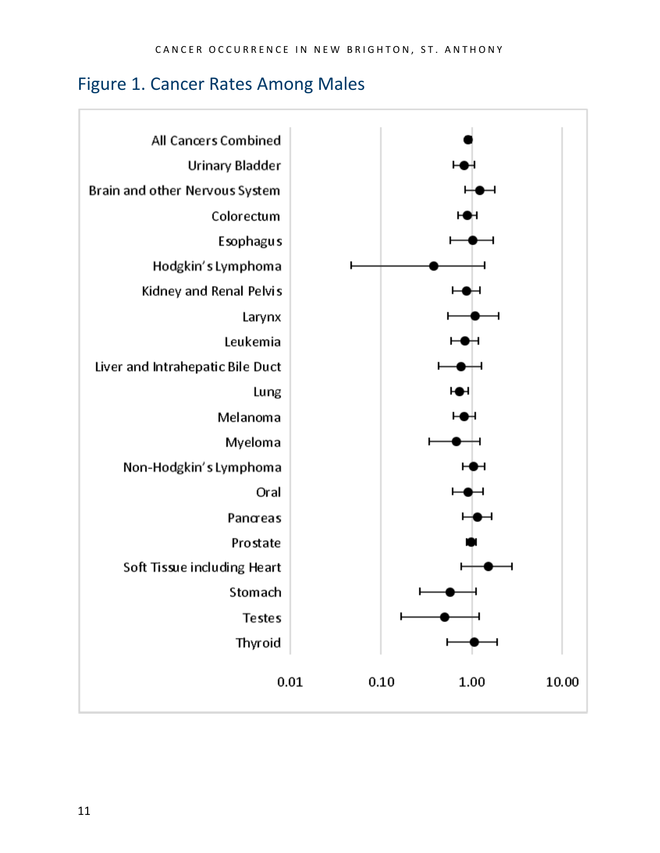#### <span id="page-10-0"></span>Figure 1. Cancer Rates Among Males

<span id="page-10-1"></span>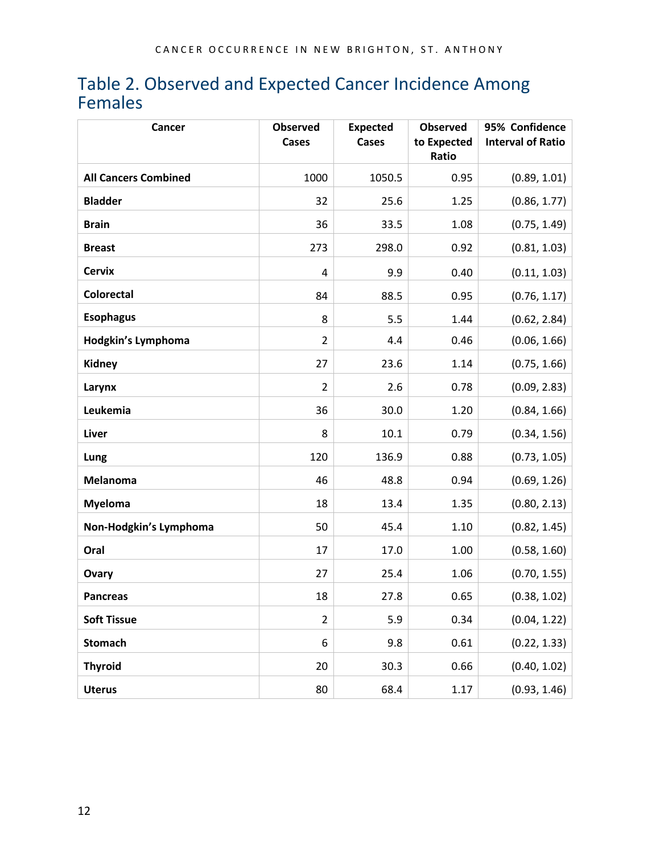#### <span id="page-11-0"></span>Table 2. Observed and Expected Cancer Incidence Among Females

| Cancer                      | <b>Observed</b><br>Cases | <b>Expected</b><br>Cases | <b>Observed</b><br>to Expected<br>Ratio | 95% Confidence<br><b>Interval of Ratio</b> |
|-----------------------------|--------------------------|--------------------------|-----------------------------------------|--------------------------------------------|
| <b>All Cancers Combined</b> | 1000                     | 1050.5                   | 0.95                                    | (0.89, 1.01)                               |
| <b>Bladder</b>              | 32                       | 25.6                     | 1.25                                    | (0.86, 1.77)                               |
| <b>Brain</b>                | 36                       | 33.5                     | 1.08                                    | (0.75, 1.49)                               |
| <b>Breast</b>               | 273                      | 298.0                    | 0.92                                    | (0.81, 1.03)                               |
| <b>Cervix</b>               | 4                        | 9.9                      | 0.40                                    | (0.11, 1.03)                               |
| <b>Colorectal</b>           | 84                       | 88.5                     | 0.95                                    | (0.76, 1.17)                               |
| <b>Esophagus</b>            | 8                        | 5.5                      | 1.44                                    | (0.62, 2.84)                               |
| Hodgkin's Lymphoma          | $\overline{2}$           | 4.4                      | 0.46                                    | (0.06, 1.66)                               |
| <b>Kidney</b>               | 27                       | 23.6                     | 1.14                                    | (0.75, 1.66)                               |
| Larynx                      | $\overline{2}$           | 2.6                      | 0.78                                    | (0.09, 2.83)                               |
| Leukemia                    | 36                       | 30.0                     | 1.20                                    | (0.84, 1.66)                               |
| Liver                       | 8                        | 10.1                     | 0.79                                    | (0.34, 1.56)                               |
| Lung                        | 120                      | 136.9                    | 0.88                                    | (0.73, 1.05)                               |
| Melanoma                    | 46                       | 48.8                     | 0.94                                    | (0.69, 1.26)                               |
| <b>Myeloma</b>              | 18                       | 13.4                     | 1.35                                    | (0.80, 2.13)                               |
| Non-Hodgkin's Lymphoma      | 50                       | 45.4                     | 1.10                                    | (0.82, 1.45)                               |
| Oral                        | 17                       | 17.0                     | 1.00                                    | (0.58, 1.60)                               |
| Ovary                       | 27                       | 25.4                     | 1.06                                    | (0.70, 1.55)                               |
| <b>Pancreas</b>             | 18                       | 27.8                     | 0.65                                    | (0.38, 1.02)                               |
| <b>Soft Tissue</b>          | $\overline{2}$           | 5.9                      | 0.34                                    | (0.04, 1.22)                               |
| <b>Stomach</b>              | 6                        | 9.8                      | 0.61                                    | (0.22, 1.33)                               |
| <b>Thyroid</b>              | 20                       | 30.3                     | 0.66                                    | (0.40, 1.02)                               |
| <b>Uterus</b>               | 80                       | 68.4                     | 1.17                                    | (0.93, 1.46)                               |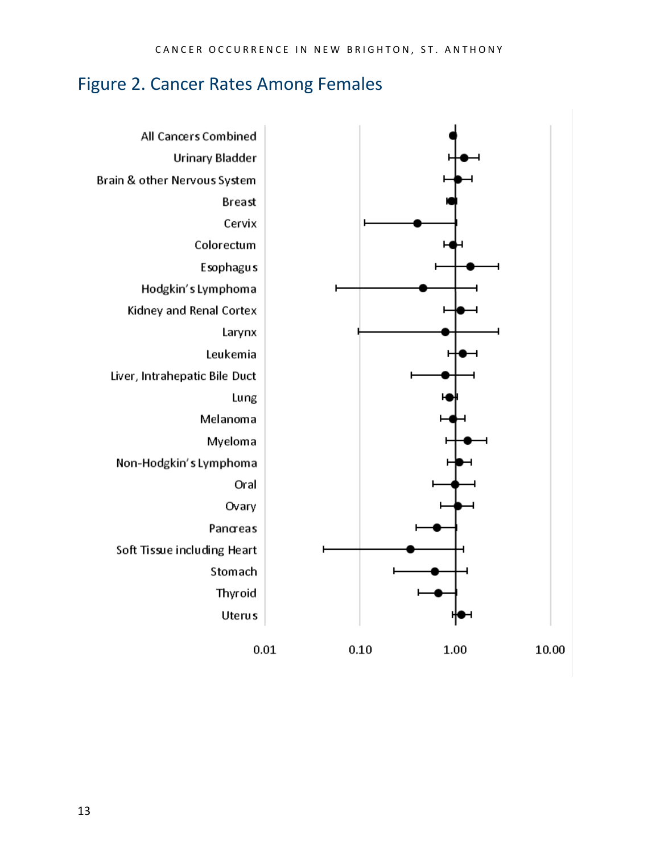#### <span id="page-12-0"></span>Figure 2. Cancer Rates Among Females